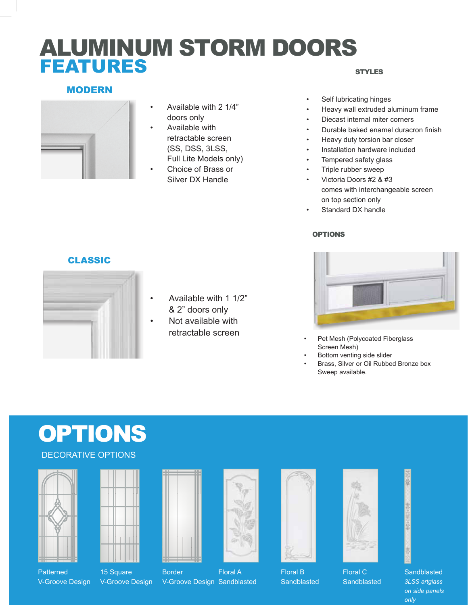# ALUMINUM STORM DOORS FEATURES

## MODERN



- Available with 2 1/4" doors only
- Available with retractable screen (SS, DSS, 3LSS, Full Lite Models only)
- Choice of Brass or Silver DX Handle

#### **STYLES**

- Self lubricating hinges
- Heavy wall extruded aluminum frame
- Diecast internal miter corners
- Durable baked enamel duracron finish
- Heavy duty torsion bar closer
- Installation hardware included
- Tempered safety glass
- Triple rubber sweep
- Victoria Doors #2 & #3 comes with interchangeable screen on top section only
- Standard DX handle

### OPTIONS



- Pet Mesh (Polycoated Fiberglass Screen Mesh)
- Bottom venting side slider
- Brass, Silver or Oil Rubbed Bronze box Sweep available.

## CLASSIC



- Available with 1 1/2" & 2" doors only
- Not available with retractable screen

# **OPTIONS**

## DECORATIVE OPTIONS





**Patterned** V-Groove Design

15 Square V-Groove Design



Border V-Groove Design Sandblasted Floral A





Floral B **Sandblasted** 



**Sandblasted** 



**Sandblasted** *3LSS artglass on side panels only*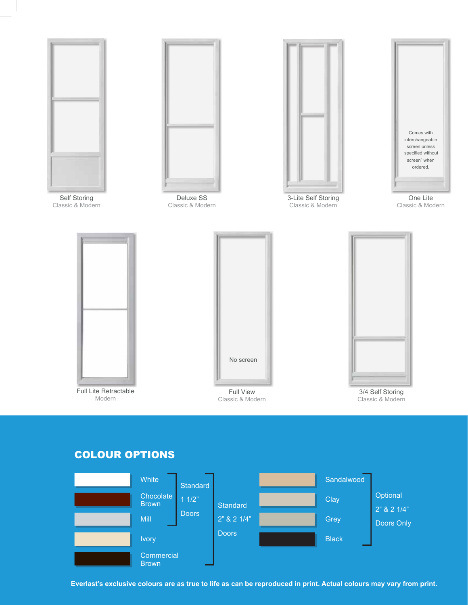

Self Storing Classic & Modern



Deluxe SS Classic & Modern



3-Lite Self Storing Classic & Modern



One Lite Classic & Modern



Full Lite Retractable Modern



Classic & Modern



3/4 Self Storing Classic & Modern

## COLOUR OPTIONS



**Everlast's exclusive colours are as true to life as can be reproduced in print. Actual colours may vary from print.**